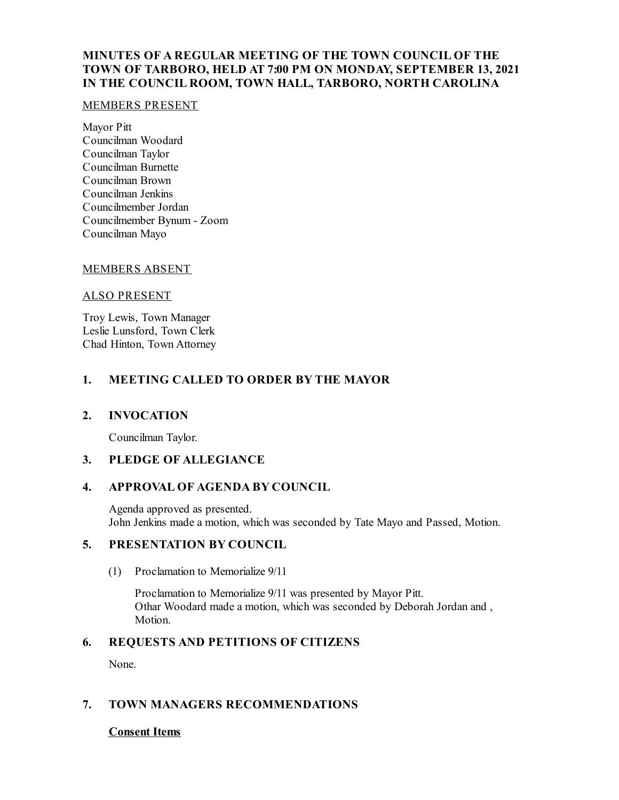# **MINUTES OF A REGULAR MEETING OF THE TOWN COUNCIL OF THE TOWN OF TARBORO, HELD AT 7:00 PM ON MONDAY, SEPTEMBER 13, 2021 IN THE COUNCIL ROOM, TOWN HALL, TARBORO, NORTH CAROLINA**

#### MEMBERS PRESENT

Mayor Pitt Councilman Woodard Councilman Taylor Councilman Burnette Councilman Brown Councilman Jenkins Councilmember Jordan Councilmember Bynum - Zoom Councilman Mayo

# MEMBERS ABSENT

#### ALSO PRESENT

Troy Lewis, Town Manager Leslie Lunsford, Town Clerk Chad Hinton, Town Attorney

# **1. MEETING CALLED TO ORDER BY THE MAYOR**

# **2. INVOCATION**

Councilman Taylor.

# **3. PLEDGE OF ALLEGIANCE**

# **4. APPROVAL OF AGENDA BY COUNCIL**

Agenda approved as presented. John Jenkins made a motion, which was seconded by Tate Mayo and Passed, Motion.

# **5. PRESENTATION BY COUNCIL**

(1) Proclamation to Memorialize 9/11

Proclamation to Memorialize 9/11 was presented by Mayor Pitt. Othar Woodard made a motion, which was seconded by Deborah Jordan and , Motion.

# **6. REQUESTS AND PETITIONS OF CITIZENS**

None.

# **7. TOWN MANAGERS RECOMMENDATIONS**

# **Consent Items**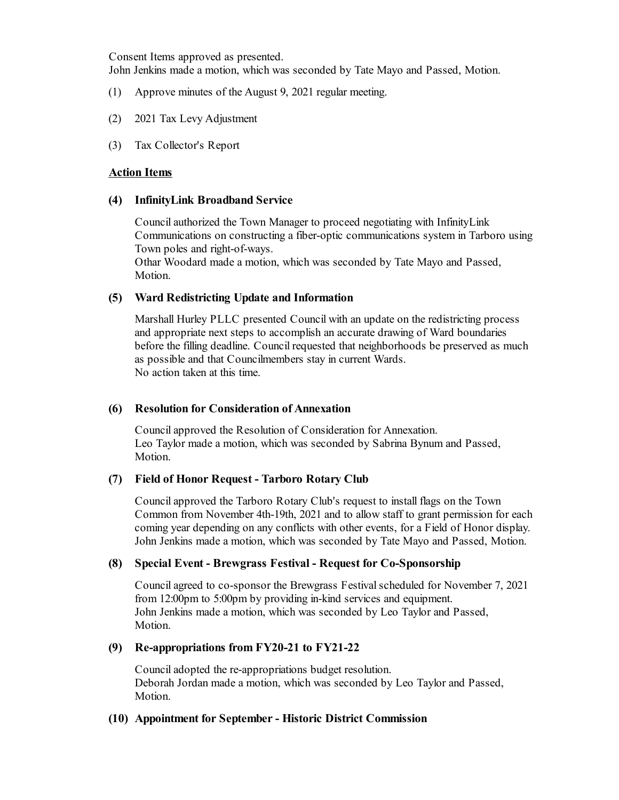Consent Items approved as presented.

John Jenkins made a motion, which was seconded by Tate Mayo and Passed, Motion.

- (1) Approve minutes of the August 9, 2021 regular meeting.
- (2) 2021 Tax Levy Adjustment
- (3) Tax Collector's Report

#### **Action Items**

#### **(4) InfinityLink Broadband Service**

Councilauthorized the Town Manager to proceed negotiating with InfinityLink Communications on constructing a fiber-optic communications system in Tarboro using Town poles and right-of-ways.

Othar Woodard made a motion, which was seconded by Tate Mayo and Passed, Motion.

# **(5) Ward Redistricting Update and Information**

Marshall Hurley PLLC presented Council with an update on the redistricting process and appropriate next steps to accomplish an accurate drawing of Ward boundaries before the filling deadline. Council requested that neighborhoods be preserved as much as possible and that Councilmembers stay in current Wards. No action taken at this time.

# **(6) Resolution for Consideration of Annexation**

Councilapproved the Resolution of Consideration for Annexation. Leo Taylor made a motion, which was seconded by Sabrina Bynum and Passed, Motion.

#### **(7) Field of Honor Request - Tarboro Rotary Club**

Councilapproved the Tarboro Rotary Club's request to install flags on the Town Common from November 4th-19th, 2021 and to allow staff to grant permission for each coming year depending on any conflicts with other events, for a Field of Honor display. John Jenkins made a motion, which was seconded by Tate Mayo and Passed, Motion.

# **(8) Special Event - Brewgrass Festival - Request for Co-Sponsorship**

Councilagreed to co-sponsor the Brewgrass Festival scheduled for November 7, 2021 from 12:00pm to 5:00pm by providing in-kind services and equipment. John Jenkins made a motion, which was seconded by Leo Taylor and Passed, Motion.

# **(9) Re-appropriations from FY20-21 to FY21-22**

Counciladopted the re-appropriations budget resolution. Deborah Jordan made a motion, which was seconded by Leo Taylor and Passed, Motion.

#### **(10) Appointment for September- Historic District Commission**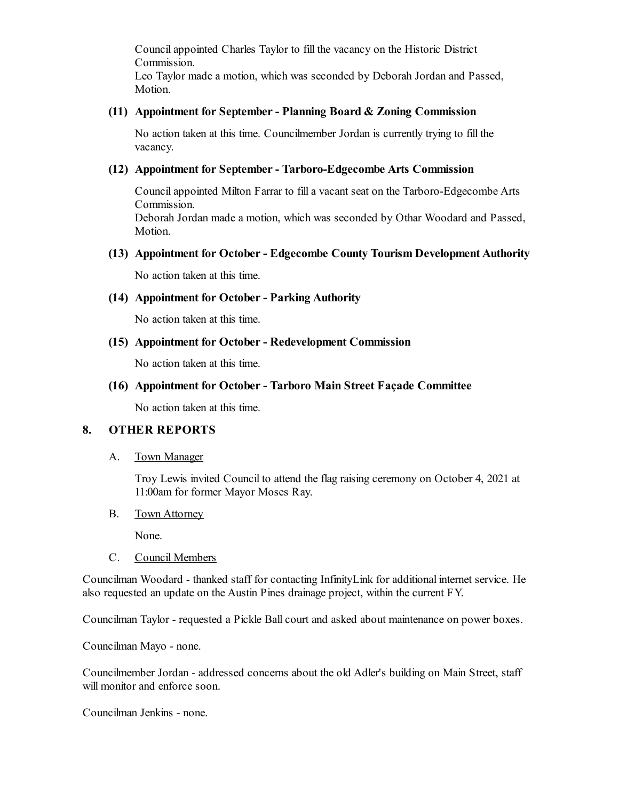Councilappointed Charles Taylor to fill the vacancy on the Historic District Commission. Leo Taylor made a motion, which was seconded by Deborah Jordan and Passed, Motion.

#### **(11) Appointment for September- Planning Board & Zoning Commission**

No action taken at this time. Councilmember Jordan is currently trying to fill the vacancy.

#### **(12) Appointment for September- Tarboro-Edgecombe Arts Commission**

Councilappointed Milton Farrar to filla vacant seat on the Tarboro-Edgecombe Arts Commission. Deborah Jordan made a motion, which was seconded by Othar Woodard and Passed, Motion.

#### **(13) Appointment for October- Edgecombe County Tourism Development Authority**

No action taken at this time.

#### **(14) Appointment for October- Parking Authority**

No action taken at this time.

# **(15) Appointment for October- Redevelopment Commission**

No action taken at this time.

#### **(16) Appointment for October- Tarboro Main Street Façade Committee**

No action taken at this time.

#### **8. OTHER REPORTS**

A. Town Manager

Troy Lewis invited Council to attend the flag raising ceremony on October 4, 2021 at 11:00am for former Mayor Moses Ray.

B. Town Attorney

None.

C. Council Members

Councilman Woodard - thanked staff for contacting InfinityLink for additional internet service. He also requested an update on the Austin Pines drainage project, within the current FY.

Councilman Taylor - requested a Pickle Ballcourt and asked about maintenance on power boxes.

Councilman Mayo - none.

Councilmember Jordan - addressed concerns about the old Adler's building on Main Street, staff will monitor and enforce soon.

Councilman Jenkins - none.